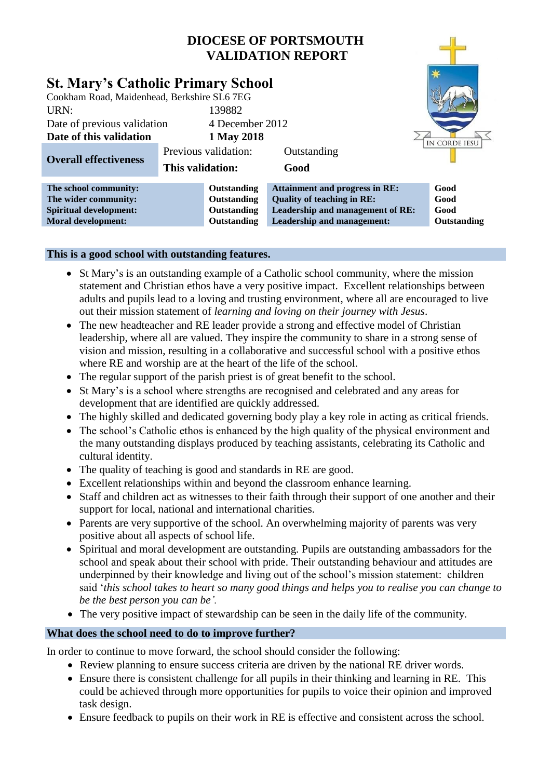# **DIOCESE OF PORTSMOUTH VALIDATION REPORT**

|                                                                                                                                                            |                  |                                                          | VALIDATION REPORT                                                                                                                            |                                     |
|------------------------------------------------------------------------------------------------------------------------------------------------------------|------------------|----------------------------------------------------------|----------------------------------------------------------------------------------------------------------------------------------------------|-------------------------------------|
| <b>St. Mary's Catholic Primary School</b><br>Cookham Road, Maidenhead, Berkshire SL6 7EG<br>URN:<br>Date of previous validation<br>Date of this validation |                  | 139882<br>4 December 2012<br>1 May 2018                  |                                                                                                                                              | IN CORDE IESU                       |
| <b>Overall effectiveness</b>                                                                                                                               | This validation: | Previous validation:                                     | Outstanding<br>Good                                                                                                                          |                                     |
| The school community:<br>The wider community:<br><b>Spiritual development:</b><br><b>Moral development:</b>                                                |                  | Outstanding<br>Outstanding<br>Outstanding<br>Outstanding | <b>Attainment and progress in RE:</b><br><b>Quality of teaching in RE:</b><br>Leadership and management of RE:<br>Leadership and management: | Good<br>Good<br>Good<br>Outstanding |

# **This is a good school with outstanding features.**

- St Mary's is an outstanding example of a Catholic school community, where the mission statement and Christian ethos have a very positive impact. Excellent relationships between adults and pupils lead to a loving and trusting environment, where all are encouraged to live out their mission statement of *learning and loving on their journey with Jesus*.
- The new headteacher and RE leader provide a strong and effective model of Christian leadership, where all are valued. They inspire the community to share in a strong sense of vision and mission, resulting in a collaborative and successful school with a positive ethos where RE and worship are at the heart of the life of the school.
- The regular support of the parish priest is of great benefit to the school.
- St Mary's is a school where strengths are recognised and celebrated and any areas for development that are identified are quickly addressed.
- The highly skilled and dedicated governing body play a key role in acting as critical friends.
- The school's Catholic ethos is enhanced by the high quality of the physical environment and the many outstanding displays produced by teaching assistants, celebrating its Catholic and cultural identity.
- The quality of teaching is good and standards in RE are good.
- Excellent relationships within and beyond the classroom enhance learning.
- Staff and children act as witnesses to their faith through their support of one another and their support for local, national and international charities.
- Parents are very supportive of the school. An overwhelming majority of parents was very positive about all aspects of school life.
- Spiritual and moral development are outstanding. Pupils are outstanding ambassadors for the school and speak about their school with pride. Their outstanding behaviour and attitudes are underpinned by their knowledge and living out of the school's mission statement: children said '*this school takes to heart so many good things and helps you to realise you can change to be the best person you can be'.*
- The very positive impact of stewardship can be seen in the daily life of the community.

### **What does the school need to do to improve further?**

In order to continue to move forward, the school should consider the following:

- Review planning to ensure success criteria are driven by the national RE driver words.
- Ensure there is consistent challenge for all pupils in their thinking and learning in RE. This could be achieved through more opportunities for pupils to voice their opinion and improved task design.
- Ensure feedback to pupils on their work in RE is effective and consistent across the school.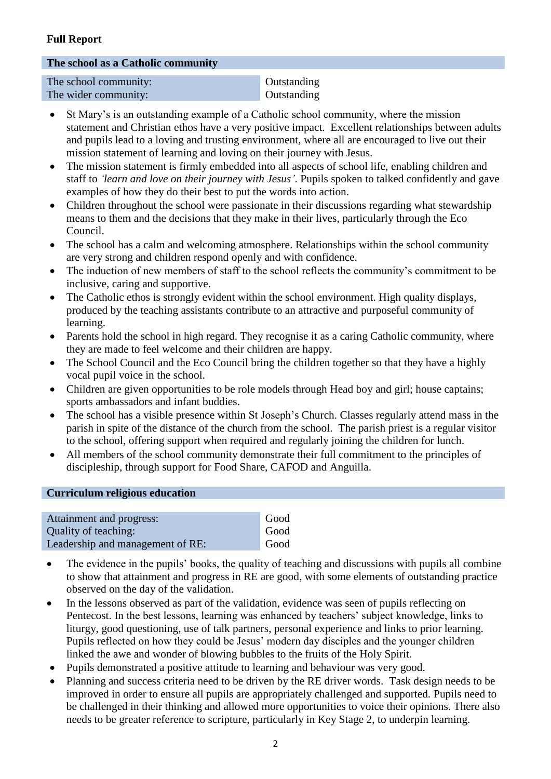# **Full Report**

#### **The school as a Catholic community**

| The school community: | Outstanding |
|-----------------------|-------------|
| The wider community:  | Outstanding |

- St Mary's is an outstanding example of a Catholic school community, where the mission statement and Christian ethos have a very positive impact. Excellent relationships between adults and pupils lead to a loving and trusting environment, where all are encouraged to live out their mission statement of learning and loving on their journey with Jesus.
- The mission statement is firmly embedded into all aspects of school life, enabling children and staff to *'learn and love on their journey with Jesus'*. Pupils spoken to talked confidently and gave examples of how they do their best to put the words into action.
- Children throughout the school were passionate in their discussions regarding what stewardship means to them and the decisions that they make in their lives, particularly through the Eco Council.
- The school has a calm and welcoming atmosphere. Relationships within the school community are very strong and children respond openly and with confidence.
- The induction of new members of staff to the school reflects the community's commitment to be inclusive, caring and supportive.
- The Catholic ethos is strongly evident within the school environment. High quality displays, produced by the teaching assistants contribute to an attractive and purposeful community of learning.
- Parents hold the school in high regard. They recognise it as a caring Catholic community, where they are made to feel welcome and their children are happy.
- The School Council and the Eco Council bring the children together so that they have a highly vocal pupil voice in the school.
- Children are given opportunities to be role models through Head boy and girl; house captains; sports ambassadors and infant buddies.
- The school has a visible presence within St Joseph's Church. Classes regularly attend mass in the parish in spite of the distance of the church from the school. The parish priest is a regular visitor to the school, offering support when required and regularly joining the children for lunch.
- All members of the school community demonstrate their full commitment to the principles of discipleship, through support for Food Share, CAFOD and Anguilla.

### **Curriculum religious education**

| Attainment and progress:         | Good |
|----------------------------------|------|
| Quality of teaching:             | Good |
| Leadership and management of RE: | Good |

- The evidence in the pupils' books, the quality of teaching and discussions with pupils all combine to show that attainment and progress in RE are good, with some elements of outstanding practice observed on the day of the validation.
- In the lessons observed as part of the validation, evidence was seen of pupils reflecting on Pentecost. In the best lessons, learning was enhanced by teachers' subject knowledge, links to liturgy, good questioning, use of talk partners, personal experience and links to prior learning. Pupils reflected on how they could be Jesus' modern day disciples and the younger children linked the awe and wonder of blowing bubbles to the fruits of the Holy Spirit.
- Pupils demonstrated a positive attitude to learning and behaviour was very good.
- Planning and success criteria need to be driven by the RE driver words. Task design needs to be improved in order to ensure all pupils are appropriately challenged and supported. Pupils need to be challenged in their thinking and allowed more opportunities to voice their opinions. There also needs to be greater reference to scripture, particularly in Key Stage 2, to underpin learning.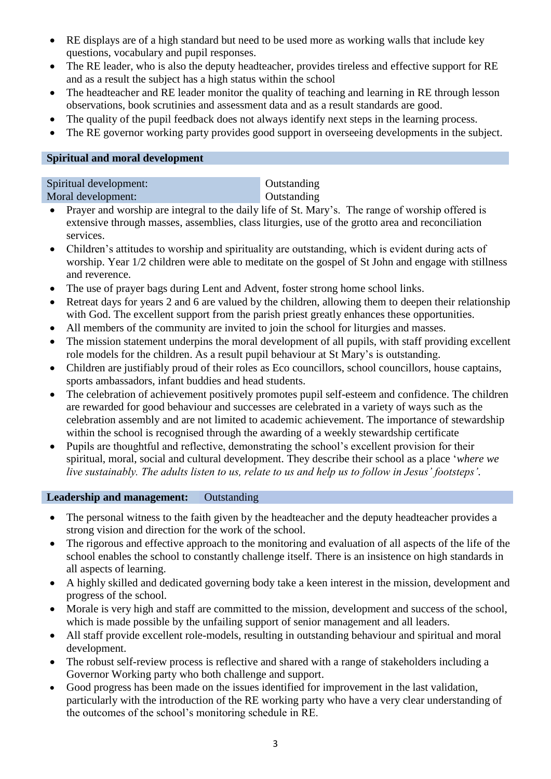- RE displays are of a high standard but need to be used more as working walls that include key questions, vocabulary and pupil responses.
- The RE leader, who is also the deputy headteacher, provides tireless and effective support for RE and as a result the subject has a high status within the school
- The headteacher and RE leader monitor the quality of teaching and learning in RE through lesson observations, book scrutinies and assessment data and as a result standards are good.
- The quality of the pupil feedback does not always identify next steps in the learning process.
- The RE governor working party provides good support in overseeing developments in the subject.

Outstanding **Outstanding** 

### **Spiritual and moral development**

| Spiritual development: |  |
|------------------------|--|
| Moral development:     |  |

- Prayer and worship are integral to the daily life of St. Mary's. The range of worship offered is extensive through masses, assemblies, class liturgies, use of the grotto area and reconciliation services.
- Children's attitudes to worship and spirituality are outstanding, which is evident during acts of worship. Year 1/2 children were able to meditate on the gospel of St John and engage with stillness and reverence.
- The use of prayer bags during Lent and Advent, foster strong home school links.
- Retreat days for years 2 and 6 are valued by the children, allowing them to deepen their relationship with God. The excellent support from the parish priest greatly enhances these opportunities.
- All members of the community are invited to join the school for liturgies and masses.
- The mission statement underpins the moral development of all pupils, with staff providing excellent role models for the children. As a result pupil behaviour at St Mary's is outstanding.
- Children are justifiably proud of their roles as Eco councillors, school councillors, house captains, sports ambassadors, infant buddies and head students.
- The celebration of achievement positively promotes pupil self-esteem and confidence. The children are rewarded for good behaviour and successes are celebrated in a variety of ways such as the celebration assembly and are not limited to academic achievement. The importance of stewardship within the school is recognised through the awarding of a weekly stewardship certificate
- Pupils are thoughtful and reflective, demonstrating the school's excellent provision for their spiritual, moral, social and cultural development. They describe their school as a place '*where we live sustainably. The adults listen to us, relate to us and help us to follow in Jesus' footsteps'.*

### **Leadership and management:** Outstanding

- The personal witness to the faith given by the headteacher and the deputy headteacher provides a strong vision and direction for the work of the school.
- The rigorous and effective approach to the monitoring and evaluation of all aspects of the life of the school enables the school to constantly challenge itself. There is an insistence on high standards in all aspects of learning.
- A highly skilled and dedicated governing body take a keen interest in the mission, development and progress of the school.
- Morale is very high and staff are committed to the mission, development and success of the school, which is made possible by the unfailing support of senior management and all leaders.
- All staff provide excellent role-models, resulting in outstanding behaviour and spiritual and moral development.
- The robust self-review process is reflective and shared with a range of stakeholders including a Governor Working party who both challenge and support.
- Good progress has been made on the issues identified for improvement in the last validation, particularly with the introduction of the RE working party who have a very clear understanding of the outcomes of the school's monitoring schedule in RE.